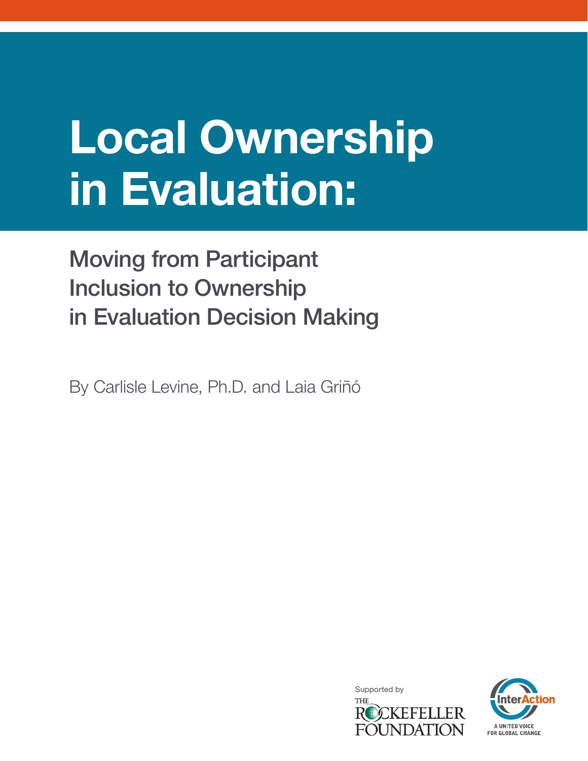# Local Ownership in Evaluation:

# Moving from Participant Inclusion to Ownership in Evaluation Decision Making

By Carlisle Levine, Ph.D. and Laia Griñó



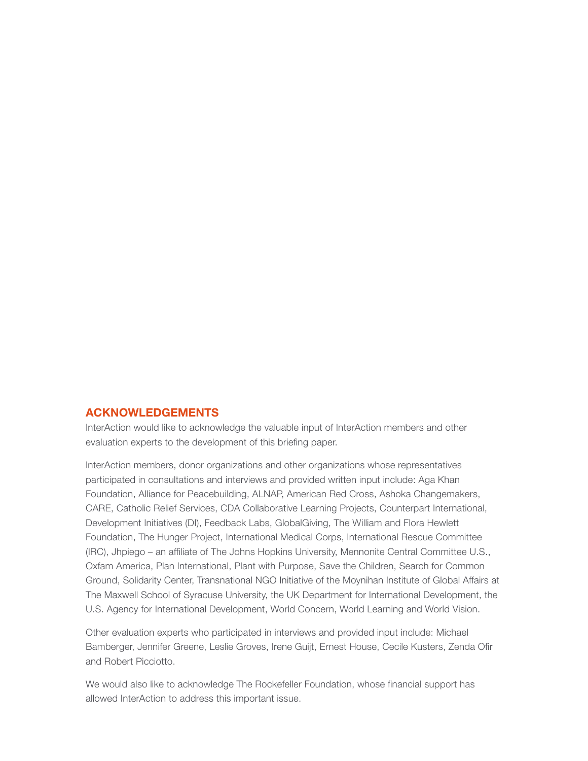#### ACKNOWLEDGEMENTS

InterAction would like to acknowledge the valuable input of InterAction members and other evaluation experts to the development of this briefing paper.

InterAction members, donor organizations and other organizations whose representatives participated in consultations and interviews and provided written input include: Aga Khan Foundation, Alliance for Peacebuilding, ALNAP, American Red Cross, Ashoka Changemakers, CARE, Catholic Relief Services, CDA Collaborative Learning Projects, Counterpart International, Development Initiatives (DI), Feedback Labs, GlobalGiving, The William and Flora Hewlett Foundation, The Hunger Project, International Medical Corps, International Rescue Committee (IRC), Jhpiego – an affiliate of The Johns Hopkins University, Mennonite Central Committee U.S., Oxfam America, Plan International, Plant with Purpose, Save the Children, Search for Common Ground, Solidarity Center, Transnational NGO Initiative of the Moynihan Institute of Global Affairs at The Maxwell School of Syracuse University, the UK Department for International Development, the U.S. Agency for International Development, World Concern, World Learning and World Vision.

Other evaluation experts who participated in interviews and provided input include: Michael Bamberger, Jennifer Greene, Leslie Groves, Irene Guijt, Ernest House, Cecile Kusters, Zenda Ofir and Robert Picciotto.

We would also like to acknowledge The Rockefeller Foundation, whose financial support has allowed InterAction to address this important issue.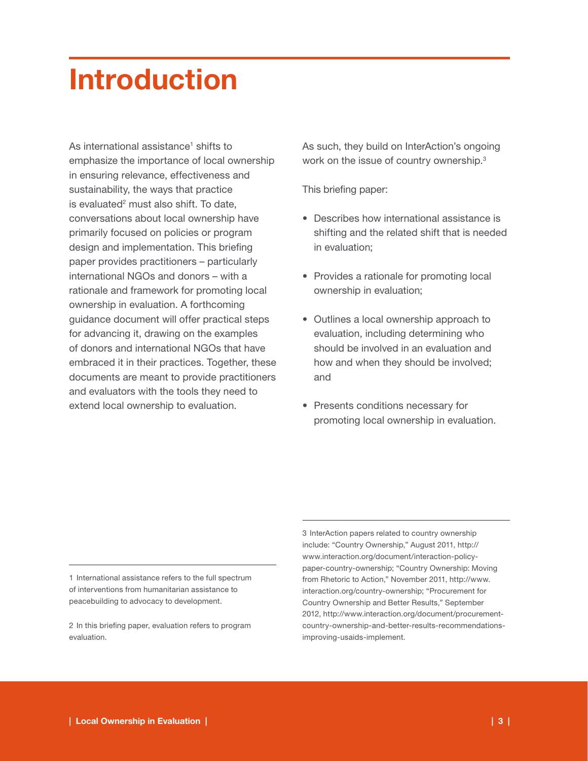# Introduction

As international assistance<sup>1</sup> shifts to emphasize the importance of local ownership in ensuring relevance, effectiveness and sustainability, the ways that practice is evaluated<sup>2</sup> must also shift. To date, conversations about local ownership have primarily focused on policies or program design and implementation. This briefing paper provides practitioners – particularly international NGOs and donors – with a rationale and framework for promoting local ownership in evaluation. A forthcoming guidance document will offer practical steps for advancing it, drawing on the examples of donors and international NGOs that have embraced it in their practices. Together, these documents are meant to provide practitioners and evaluators with the tools they need to extend local ownership to evaluation.

As such, they build on InterAction's ongoing work on the issue of country ownership.<sup>3</sup>

This briefing paper:

- Describes how international assistance is shifting and the related shift that is needed in evaluation;
- Provides a rationale for promoting local ownership in evaluation;
- Outlines a local ownership approach to evaluation, including determining who should be involved in an evaluation and how and when they should be involved; and
- Presents conditions necessary for promoting local ownership in evaluation.

1 International assistance refers to the full spectrum of interventions from humanitarian assistance to peacebuilding to advocacy to development.

2 In this briefing paper, evaluation refers to program evaluation.

3 InterAction papers related to country ownership include: "Country Ownership," August 2011, http:// www.interaction.org/document/interaction-policypaper-country-ownership; "Country Ownership: Moving from Rhetoric to Action," November 2011, http://www. interaction.org/country-ownership; "Procurement for Country Ownership and Better Results," September 2012, http://www.interaction.org/document/procurementcountry-ownership-and-better-results-recommendationsimproving-usaids-implement.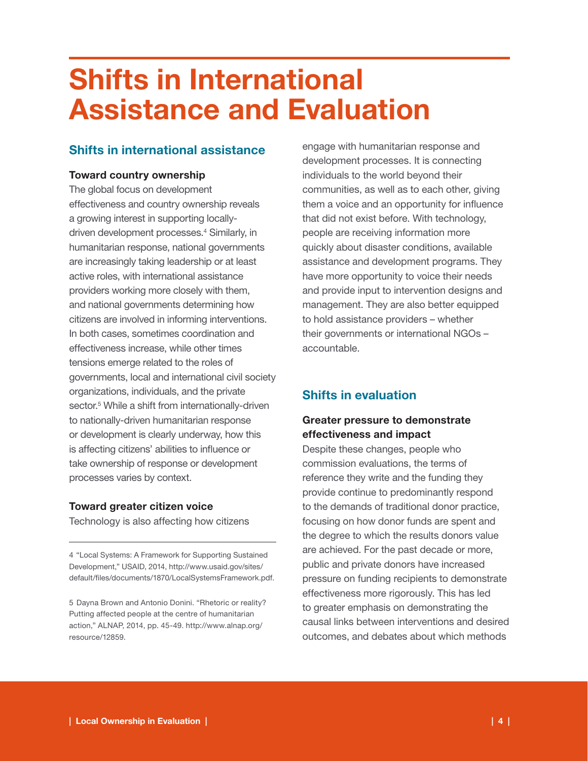# Shifts in International Assistance and Evaluation

# Shifts in international assistance

# Toward country ownership

The global focus on development effectiveness and country ownership reveals a growing interest in supporting locallydriven development processes.<sup>4</sup> Similarly, in humanitarian response, national governments are increasingly taking leadership or at least active roles, with international assistance providers working more closely with them, and national governments determining how citizens are involved in informing interventions. In both cases, sometimes coordination and effectiveness increase, while other times tensions emerge related to the roles of governments, local and international civil society organizations, individuals, and the private sector.<sup>5</sup> While a shift from internationally-driven to nationally-driven humanitarian response or development is clearly underway, how this is affecting citizens' abilities to influence or take ownership of response or development processes varies by context.

# Toward greater citizen voice

Technology is also affecting how citizens

4 "Local Systems: A Framework for Supporting Sustained Development," USAID, 2014, http://www.usaid.gov/sites/ default/files/documents/1870/LocalSystemsFramework.pdf.

5 Dayna Brown and Antonio Donini. "Rhetoric or reality? Putting affected people at the centre of humanitarian action," ALNAP, 2014, pp. 45-49. http://www.alnap.org/ resource/12859.

engage with humanitarian response and development processes. It is connecting individuals to the world beyond their communities, as well as to each other, giving them a voice and an opportunity for influence that did not exist before. With technology, people are receiving information more quickly about disaster conditions, available assistance and development programs. They have more opportunity to voice their needs and provide input to intervention designs and management. They are also better equipped to hold assistance providers – whether their governments or international NGOs – accountable.

# Shifts in evaluation

# Greater pressure to demonstrate effectiveness and impact

Despite these changes, people who commission evaluations, the terms of reference they write and the funding they provide continue to predominantly respond to the demands of traditional donor practice, focusing on how donor funds are spent and the degree to which the results donors value are achieved. For the past decade or more, public and private donors have increased pressure on funding recipients to demonstrate effectiveness more rigorously. This has led to greater emphasis on demonstrating the causal links between interventions and desired outcomes, and debates about which methods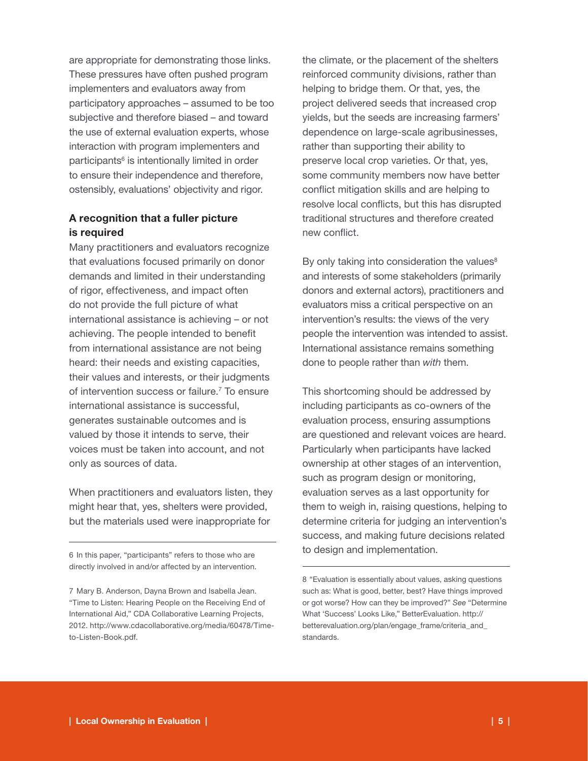are appropriate for demonstrating those links. These pressures have often pushed program implementers and evaluators away from participatory approaches – assumed to be too subjective and therefore biased – and toward the use of external evaluation experts, whose interaction with program implementers and participants<sup>6</sup> is intentionally limited in order to ensure their independence and therefore, ostensibly, evaluations' objectivity and rigor.

### A recognition that a fuller picture is required

Many practitioners and evaluators recognize that evaluations focused primarily on donor demands and limited in their understanding of rigor, effectiveness, and impact often do not provide the full picture of what international assistance is achieving – or not achieving. The people intended to benefit from international assistance are not being heard: their needs and existing capacities, their values and interests, or their judgments of intervention success or failure.<sup>7</sup> To ensure international assistance is successful, generates sustainable outcomes and is valued by those it intends to serve, their voices must be taken into account, and not only as sources of data.

When practitioners and evaluators listen, they might hear that, yes, shelters were provided, but the materials used were inappropriate for

6 In this paper, "participants" refers to those who are directly involved in and/or affected by an intervention. the climate, or the placement of the shelters reinforced community divisions, rather than helping to bridge them. Or that, yes, the project delivered seeds that increased crop yields, but the seeds are increasing farmers' dependence on large-scale agribusinesses, rather than supporting their ability to preserve local crop varieties. Or that, yes, some community members now have better conflict mitigation skills and are helping to resolve local conflicts, but this has disrupted traditional structures and therefore created new conflict.

By only taking into consideration the values $8$ and interests of some stakeholders (primarily donors and external actors), practitioners and evaluators miss a critical perspective on an intervention's results: the views of the very people the intervention was intended to assist. International assistance remains something done to people rather than *with* them.

This shortcoming should be addressed by including participants as co-owners of the evaluation process, ensuring assumptions are questioned and relevant voices are heard. Particularly when participants have lacked ownership at other stages of an intervention, such as program design or monitoring, evaluation serves as a last opportunity for them to weigh in, raising questions, helping to determine criteria for judging an intervention's success, and making future decisions related to design and implementation.

<sup>7</sup> Mary B. Anderson, Dayna Brown and Isabella Jean. "Time to Listen: Hearing People on the Receiving End of International Aid," CDA Collaborative Learning Projects, 2012. http://www.cdacollaborative.org/media/60478/Timeto-Listen-Book.pdf.

<sup>8 &</sup>quot;Evaluation is essentially about values, asking questions such as: What is good, better, best? Have things improved or got worse? How can they be improved?" *See* "Determine What 'Success' Looks Like," BetterEvaluation. http:// betterevaluation.org/plan/engage\_frame/criteria\_and\_ standards.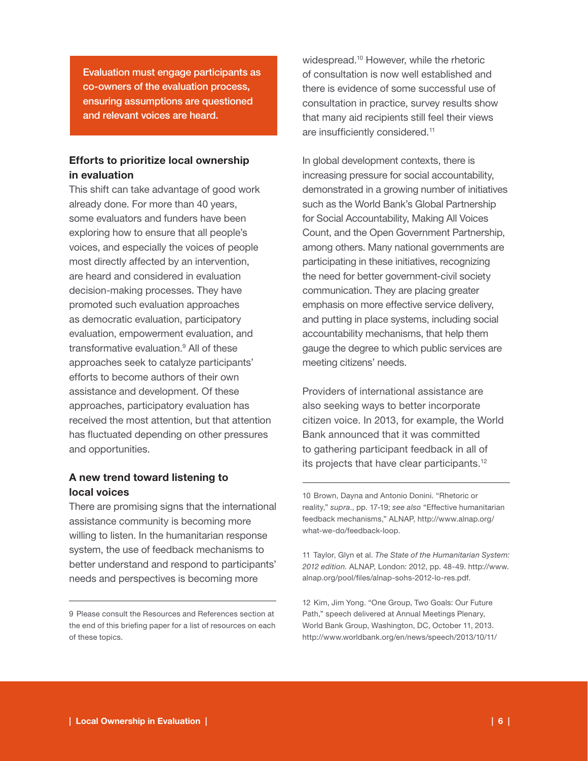Evaluation must engage participants as co-owners of the evaluation process, ensuring assumptions are questioned and relevant voices are heard.

### Efforts to prioritize local ownership in evaluation

This shift can take advantage of good work already done. For more than 40 years, some evaluators and funders have been exploring how to ensure that all people's voices, and especially the voices of people most directly affected by an intervention, are heard and considered in evaluation decision-making processes. They have promoted such evaluation approaches as democratic evaluation, participatory evaluation, empowerment evaluation, and transformative evaluation.9 All of these approaches seek to catalyze participants' efforts to become authors of their own assistance and development. Of these approaches, participatory evaluation has received the most attention, but that attention has fluctuated depending on other pressures and opportunities.

### A new trend toward listening to local voices

There are promising signs that the international assistance community is becoming more willing to listen. In the humanitarian response system, the use of feedback mechanisms to better understand and respond to participants' needs and perspectives is becoming more

widespread.10 However, while the rhetoric of consultation is now well established and there is evidence of some successful use of consultation in practice, survey results show that many aid recipients still feel their views are insufficiently considered.<sup>11</sup>

In global development contexts, there is increasing pressure for social accountability, demonstrated in a growing number of initiatives such as the World Bank's Global Partnership for Social Accountability, Making All Voices Count, and the Open Government Partnership, among others. Many national governments are participating in these initiatives, recognizing the need for better government-civil society communication. They are placing greater emphasis on more effective service delivery, and putting in place systems, including social accountability mechanisms, that help them gauge the degree to which public services are meeting citizens' needs.

Providers of international assistance are also seeking ways to better incorporate citizen voice. In 2013, for example, the World Bank announced that it was committed to gathering participant feedback in all of its projects that have clear participants.12

10 Brown, Dayna and Antonio Donini. "Rhetoric or reality," *supra*., pp. 17-19; *see also* "Effective humanitarian feedback mechanisms," ALNAP, http://www.alnap.org/ what-we-do/feedback-loop.

11 Taylor, Glyn et al. *The State of the Humanitarian System: 2012 edition.* ALNAP, London: 2012, pp. 48-49. http://www. alnap.org/pool/files/alnap-sohs-2012-lo-res.pdf.

12 Kim, Jim Yong. "One Group, Two Goals: Our Future Path," speech delivered at Annual Meetings Plenary, World Bank Group, Washington, DC, October 11, 2013. http://www.worldbank.org/en/news/speech/2013/10/11/

<sup>9</sup> Please consult the Resources and References section at the end of this briefing paper for a list of resources on each of these topics.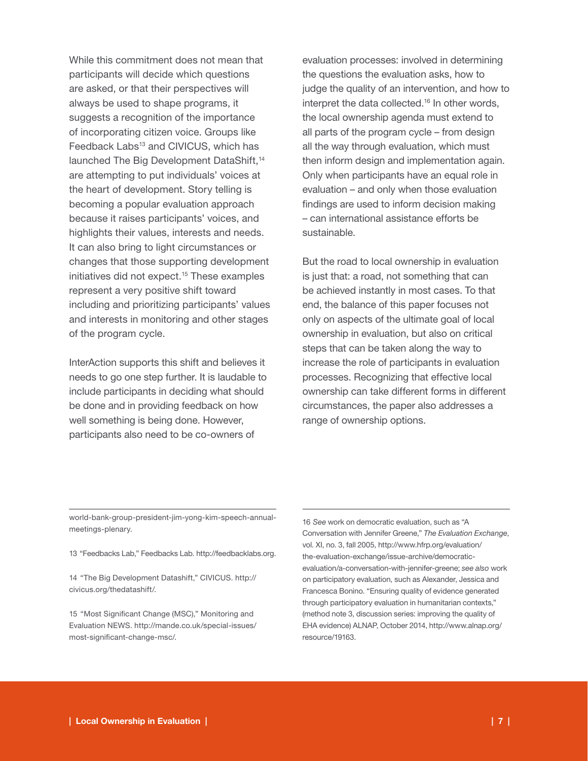While this commitment does not mean that participants will decide which questions are asked, or that their perspectives will always be used to shape programs, it suggests a recognition of the importance of incorporating citizen voice. Groups like Feedback Labs<sup>13</sup> and CIVICUS, which has launched The Big Development DataShift,<sup>14</sup> are attempting to put individuals' voices at the heart of development. Story telling is becoming a popular evaluation approach because it raises participants' voices, and highlights their values, interests and needs. It can also bring to light circumstances or changes that those supporting development initiatives did not expect.<sup>15</sup> These examples represent a very positive shift toward including and prioritizing participants' values and interests in monitoring and other stages of the program cycle.

InterAction supports this shift and believes it needs to go one step further. It is laudable to include participants in deciding what should be done and in providing feedback on how well something is being done. However, participants also need to be co-owners of

evaluation processes: involved in determining the questions the evaluation asks, how to judge the quality of an intervention, and how to interpret the data collected.<sup>16</sup> In other words, the local ownership agenda must extend to all parts of the program cycle – from design all the way through evaluation, which must then inform design and implementation again. Only when participants have an equal role in evaluation – and only when those evaluation findings are used to inform decision making – can international assistance efforts be sustainable.

But the road to local ownership in evaluation is just that: a road, not something that can be achieved instantly in most cases. To that end, the balance of this paper focuses not only on aspects of the ultimate goal of local ownership in evaluation, but also on critical steps that can be taken along the way to increase the role of participants in evaluation processes. Recognizing that effective local ownership can take different forms in different circumstances, the paper also addresses a range of ownership options.

world-bank-group-president-jim-yong-kim-speech-annualmeetings-plenary.

13 "Feedbacks Lab," Feedbacks Lab. http://feedbacklabs.org.

14 "The Big Development Datashift," CIVICUS. http:// civicus.org/thedatashift/.

15 "Most Significant Change (MSC)," Monitoring and Evaluation NEWS. http://mande.co.uk/special-issues/ most-significant-change-msc/.

16 *See* work on democratic evaluation, such as "A Conversation with Jennifer Greene," *The Evaluation Exchange*, vol. XI, no. 3, fall 2005, http://www.hfrp.org/evaluation/ the-evaluation-exchange/issue-archive/democraticevaluation/a-conversation-with-jennifer-greene; *see also* work on participatory evaluation, such as Alexander, Jessica and Francesca Bonino. "Ensuring quality of evidence generated through participatory evaluation in humanitarian contexts," (method note 3, discussion series: improving the quality of EHA evidence) ALNAP, October 2014, http://www.alnap.org/ resource/19163.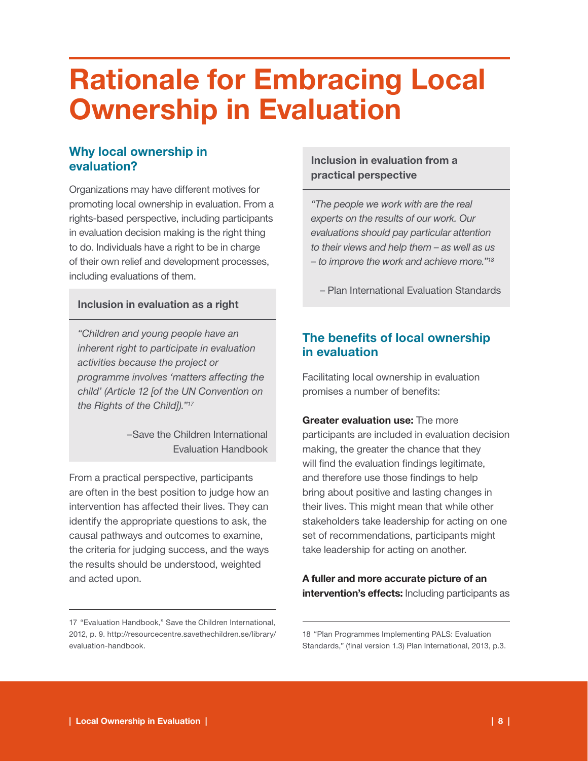# Rationale for Embracing Local Ownership in Evaluation

# Why local ownership in evaluation?

Organizations may have different motives for promoting local ownership in evaluation. From a rights-based perspective, including participants in evaluation decision making is the right thing to do. Individuals have a right to be in charge of their own relief and development processes, including evaluations of them.

#### Inclusion in evaluation as a right

*"Children and young people have an inherent right to participate in evaluation activities because the project or programme involves 'matters affecting the child' (Article 12 [of the UN Convention on the Rights of the Child])."17*

> –Save the Children International Evaluation Handbook

From a practical perspective, participants are often in the best position to judge how an intervention has affected their lives. They can identify the appropriate questions to ask, the causal pathways and outcomes to examine, the criteria for judging success, and the ways the results should be understood, weighted and acted upon.

## Inclusion in evaluation from a practical perspective

*"The people we work with are the real experts on the results of our work. Our evaluations should pay particular attention to their views and help them – as well as us – to improve the work and achieve more."18*

– Plan International Evaluation Standards

# The benefits of local ownership in evaluation

Facilitating local ownership in evaluation promises a number of benefits:

Greater evaluation use: The more participants are included in evaluation decision making, the greater the chance that they will find the evaluation findings legitimate, and therefore use those findings to help bring about positive and lasting changes in their lives. This might mean that while other stakeholders take leadership for acting on one set of recommendations, participants might take leadership for acting on another.

A fuller and more accurate picture of an intervention's effects: Including participants as

<sup>17 &</sup>quot;Evaluation Handbook," Save the Children International, 2012, p. 9. http://resourcecentre.savethechildren.se/library/ evaluation-handbook.

<sup>18 &</sup>quot;Plan Programmes Implementing PALS: Evaluation Standards," (final version 1.3) Plan International, 2013, p.3.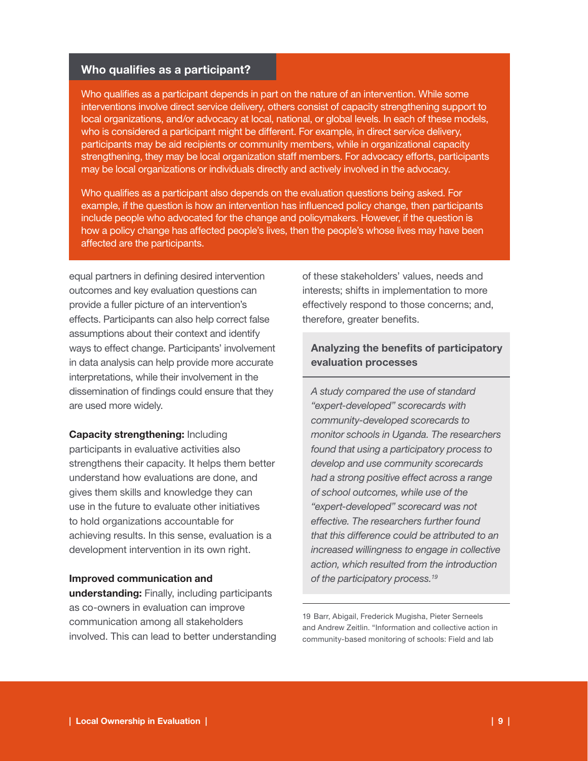### Who qualifies as a participant?

Who qualifies as a participant depends in part on the nature of an intervention. While some interventions involve direct service delivery, others consist of capacity strengthening support to local organizations, and/or advocacy at local, national, or global levels. In each of these models, who is considered a participant might be different. For example, in direct service delivery, participants may be aid recipients or community members, while in organizational capacity strengthening, they may be local organization staff members. For advocacy efforts, participants may be local organizations or individuals directly and actively involved in the advocacy.

Who qualifies as a participant also depends on the evaluation questions being asked. For example, if the question is how an intervention has influenced policy change, then participants include people who advocated for the change and policymakers. However, if the question is how a policy change has affected people's lives, then the people's whose lives may have been affected are the participants.

equal partners in defining desired intervention outcomes and key evaluation questions can provide a fuller picture of an intervention's effects. Participants can also help correct false assumptions about their context and identify ways to effect change. Participants' involvement in data analysis can help provide more accurate interpretations, while their involvement in the dissemination of findings could ensure that they are used more widely.

**Capacity strengthening: Including** participants in evaluative activities also strengthens their capacity. It helps them better understand how evaluations are done, and gives them skills and knowledge they can use in the future to evaluate other initiatives to hold organizations accountable for achieving results. In this sense, evaluation is a development intervention in its own right.

#### Improved communication and

understanding: Finally, including participants as co-owners in evaluation can improve communication among all stakeholders involved. This can lead to better understanding of these stakeholders' values, needs and interests; shifts in implementation to more effectively respond to those concerns; and, therefore, greater benefits.

## Analyzing the benefits of participatory evaluation processes

*A study compared the use of standard "expert-developed" scorecards with community-developed scorecards to monitor schools in Uganda. The researchers found that using a participatory process to develop and use community scorecards had a strong positive effect across a range of school outcomes, while use of the "expert-developed" scorecard was not effective. The researchers further found that this difference could be attributed to an increased willingness to engage in collective action, which resulted from the introduction of the participatory process.19*

19 Barr, Abigail, Frederick Mugisha, Pieter Serneels and Andrew Zeitlin. "Information and collective action in community-based monitoring of schools: Field and lab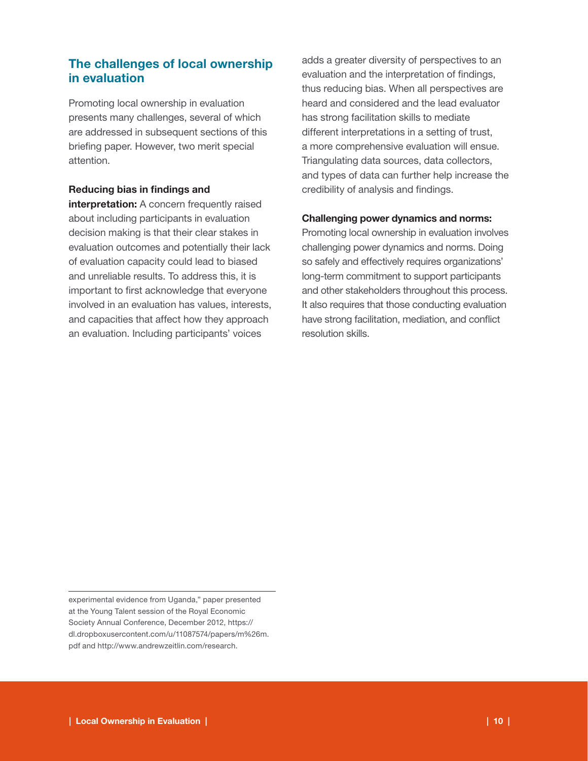# The challenges of local ownership in evaluation

Promoting local ownership in evaluation presents many challenges, several of which are addressed in subsequent sections of this briefing paper. However, two merit special attention.

#### Reducing bias in findings and

interpretation: A concern frequently raised about including participants in evaluation decision making is that their clear stakes in evaluation outcomes and potentially their lack of evaluation capacity could lead to biased and unreliable results. To address this, it is important to first acknowledge that everyone involved in an evaluation has values, interests, and capacities that affect how they approach an evaluation. Including participants' voices

adds a greater diversity of perspectives to an evaluation and the interpretation of findings, thus reducing bias. When all perspectives are heard and considered and the lead evaluator has strong facilitation skills to mediate different interpretations in a setting of trust, a more comprehensive evaluation will ensue. Triangulating data sources, data collectors, and types of data can further help increase the credibility of analysis and findings.

#### Challenging power dynamics and norms:

Promoting local ownership in evaluation involves challenging power dynamics and norms. Doing so safely and effectively requires organizations' long-term commitment to support participants and other stakeholders throughout this process. It also requires that those conducting evaluation have strong facilitation, mediation, and conflict resolution skills.

experimental evidence from Uganda," paper presented at the Young Talent session of the Royal Economic Society Annual Conference, December 2012, https:// dl.dropboxusercontent.com/u/11087574/papers/m%26m. pdf and http://www.andrewzeitlin.com/research.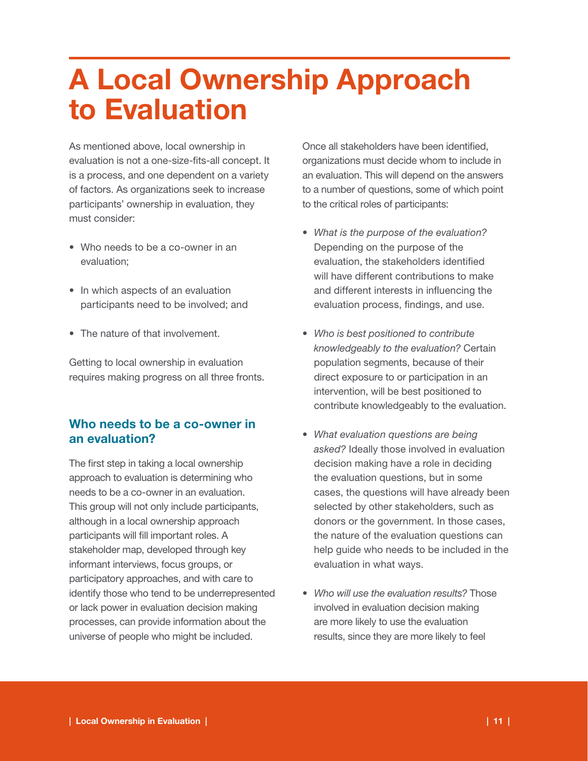# A Local Ownership Approach to Evaluation

As mentioned above, local ownership in evaluation is not a one-size-fits-all concept. It is a process, and one dependent on a variety of factors. As organizations seek to increase participants' ownership in evaluation, they must consider:

- Who needs to be a co-owner in an evaluation;
- In which aspects of an evaluation participants need to be involved; and
- The nature of that involvement.

Getting to local ownership in evaluation requires making progress on all three fronts.

# Who needs to be a co-owner in an evaluation?

The first step in taking a local ownership approach to evaluation is determining who needs to be a co-owner in an evaluation. This group will not only include participants, although in a local ownership approach participants will fill important roles. A stakeholder map, developed through key informant interviews, focus groups, or participatory approaches, and with care to identify those who tend to be underrepresented or lack power in evaluation decision making processes, can provide information about the universe of people who might be included.

Once all stakeholders have been identified, organizations must decide whom to include in an evaluation. This will depend on the answers to a number of questions, some of which point to the critical roles of participants:

- • *What is the purpose of the evaluation?* Depending on the purpose of the evaluation, the stakeholders identified will have different contributions to make and different interests in influencing the evaluation process, findings, and use.
- • *Who is best positioned to contribute knowledgeably to the evaluation?* Certain population segments, because of their direct exposure to or participation in an intervention, will be best positioned to contribute knowledgeably to the evaluation.
- • *What evaluation questions are being asked?* Ideally those involved in evaluation decision making have a role in deciding the evaluation questions, but in some cases, the questions will have already been selected by other stakeholders, such as donors or the government. In those cases, the nature of the evaluation questions can help guide who needs to be included in the evaluation in what ways.
- • *Who will use the evaluation results?* Those involved in evaluation decision making are more likely to use the evaluation results, since they are more likely to feel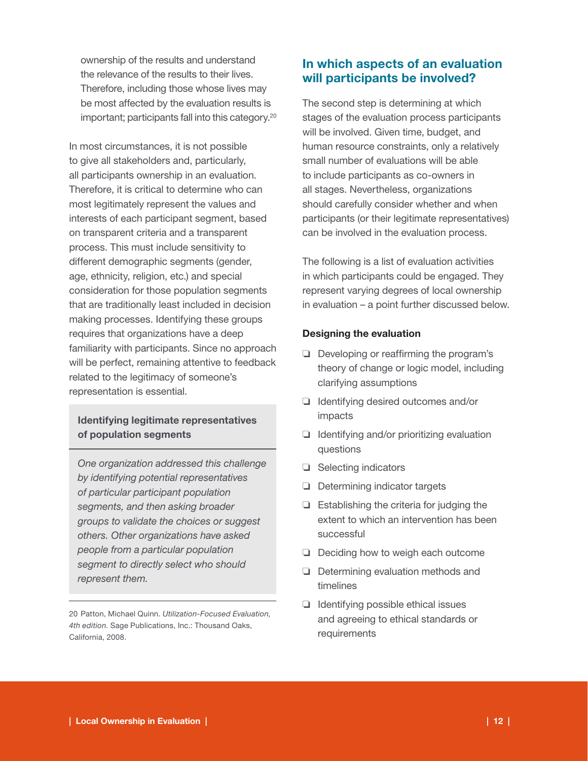ownership of the results and understand the relevance of the results to their lives. Therefore, including those whose lives may be most affected by the evaluation results is important; participants fall into this category.20

In most circumstances, it is not possible to give all stakeholders and, particularly, all participants ownership in an evaluation. Therefore, it is critical to determine who can most legitimately represent the values and interests of each participant segment, based on transparent criteria and a transparent process. This must include sensitivity to different demographic segments (gender, age, ethnicity, religion, etc.) and special consideration for those population segments that are traditionally least included in decision making processes. Identifying these groups requires that organizations have a deep familiarity with participants. Since no approach will be perfect, remaining attentive to feedback related to the legitimacy of someone's representation is essential.

### Identifying legitimate representatives of population segments

*One organization addressed this challenge by identifying potential representatives of particular participant population segments, and then asking broader groups to validate the choices or suggest others. Other organizations have asked people from a particular population segment to directly select who should represent them.*

20 Patton, Michael Quinn. *Utilization-Focused Evaluation, 4th edition*. Sage Publications, Inc.: Thousand Oaks, California, 2008.

# In which aspects of an evaluation will participants be involved?

The second step is determining at which stages of the evaluation process participants will be involved. Given time, budget, and human resource constraints, only a relatively small number of evaluations will be able to include participants as co-owners in all stages. Nevertheless, organizations should carefully consider whether and when participants (or their legitimate representatives) can be involved in the evaluation process.

The following is a list of evaluation activities in which participants could be engaged. They represent varying degrees of local ownership in evaluation – a point further discussed below.

#### Designing the evaluation

- ❏ Developing or reaffirming the program's theory of change or logic model, including clarifying assumptions
- ❏ Identifying desired outcomes and/or impacts
- ❏ Identifying and/or prioritizing evaluation questions
- ❏ Selecting indicators
- ❏ Determining indicator targets
- ❏ Establishing the criteria for judging the extent to which an intervention has been successful
- ❏ Deciding how to weigh each outcome
- ❏ Determining evaluation methods and timelines
- ❏ Identifying possible ethical issues and agreeing to ethical standards or requirements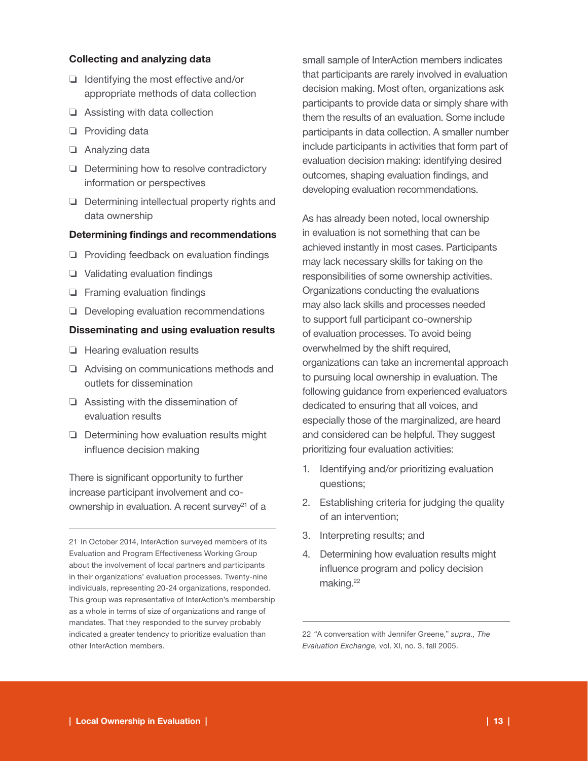#### Collecting and analyzing data

- ❏ Identifying the most effective and/or appropriate methods of data collection
- ❏ Assisting with data collection
- ❏ Providing data
- ❏ Analyzing data
- ❏ Determining how to resolve contradictory information or perspectives
- ❏ Determining intellectual property rights and data ownership

#### Determining findings and recommendations

- ❏ Providing feedback on evaluation findings
- ❏ Validating evaluation findings
- ❏ Framing evaluation findings
- ❏ Developing evaluation recommendations

#### Disseminating and using evaluation results

- ❏ Hearing evaluation results
- ❏ Advising on communications methods and outlets for dissemination
- ❏ Assisting with the dissemination of evaluation results
- ❏ Determining how evaluation results might influence decision making

There is significant opportunity to further increase participant involvement and coownership in evaluation. A recent survey<sup>21</sup> of a small sample of InterAction members indicates that participants are rarely involved in evaluation decision making. Most often, organizations ask participants to provide data or simply share with them the results of an evaluation. Some include participants in data collection. A smaller number include participants in activities that form part of evaluation decision making: identifying desired outcomes, shaping evaluation findings, and developing evaluation recommendations.

As has already been noted, local ownership in evaluation is not something that can be achieved instantly in most cases. Participants may lack necessary skills for taking on the responsibilities of some ownership activities. Organizations conducting the evaluations may also lack skills and processes needed to support full participant co-ownership of evaluation processes. To avoid being overwhelmed by the shift required, organizations can take an incremental approach to pursuing local ownership in evaluation. The following guidance from experienced evaluators dedicated to ensuring that all voices, and especially those of the marginalized, are heard and considered can be helpful. They suggest prioritizing four evaluation activities:

- 1. Identifying and/or prioritizing evaluation questions;
- 2. Establishing criteria for judging the quality of an intervention;
- 3. Interpreting results; and
- 4. Determining how evaluation results might influence program and policy decision making.<sup>22</sup>

<sup>21</sup> In October 2014, InterAction surveyed members of its Evaluation and Program Effectiveness Working Group about the involvement of local partners and participants in their organizations' evaluation processes. Twenty-nine individuals, representing 20-24 organizations, responded. This group was representative of InterAction's membership as a whole in terms of size of organizations and range of mandates. That they responded to the survey probably indicated a greater tendency to prioritize evaluation than other InterAction members.

<sup>22 &</sup>quot;A conversation with Jennifer Greene," *supra., The Evaluation Exchange,* vol. XI, no. 3, fall 2005.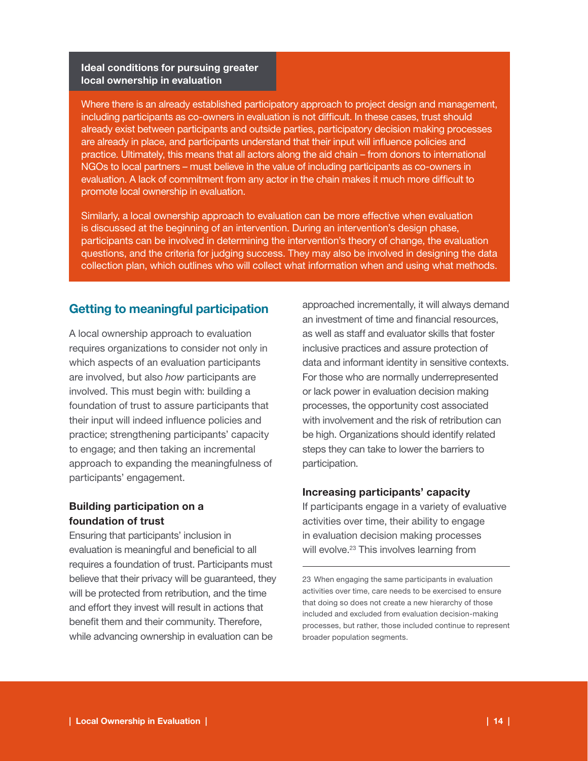#### Ideal conditions for pursuing greater local ownership in evaluation

Where there is an already established participatory approach to project design and management, including participants as co-owners in evaluation is not difficult. In these cases, trust should already exist between participants and outside parties, participatory decision making processes are already in place, and participants understand that their input will influence policies and practice. Ultimately, this means that all actors along the aid chain – from donors to international NGOs to local partners – must believe in the value of including participants as co-owners in evaluation. A lack of commitment from any actor in the chain makes it much more difficult to promote local ownership in evaluation.

Similarly, a local ownership approach to evaluation can be more effective when evaluation is discussed at the beginning of an intervention. During an intervention's design phase, participants can be involved in determining the intervention's theory of change, the evaluation questions, and the criteria for judging success. They may also be involved in designing the data collection plan, which outlines who will collect what information when and using what methods.

# Getting to meaningful participation

A local ownership approach to evaluation requires organizations to consider not only in which aspects of an evaluation participants are involved, but also *how* participants are involved. This must begin with: building a foundation of trust to assure participants that their input will indeed influence policies and practice; strengthening participants' capacity to engage; and then taking an incremental approach to expanding the meaningfulness of participants' engagement.

# Building participation on a foundation of trust

Ensuring that participants' inclusion in evaluation is meaningful and beneficial to all requires a foundation of trust. Participants must believe that their privacy will be guaranteed, they will be protected from retribution, and the time and effort they invest will result in actions that benefit them and their community. Therefore, while advancing ownership in evaluation can be

approached incrementally, it will always demand an investment of time and financial resources, as well as staff and evaluator skills that foster inclusive practices and assure protection of data and informant identity in sensitive contexts. For those who are normally underrepresented or lack power in evaluation decision making processes, the opportunity cost associated with involvement and the risk of retribution can be high. Organizations should identify related steps they can take to lower the barriers to participation.

#### Increasing participants' capacity

If participants engage in a variety of evaluative activities over time, their ability to engage in evaluation decision making processes will evolve.<sup>23</sup> This involves learning from

<sup>23</sup> When engaging the same participants in evaluation activities over time, care needs to be exercised to ensure that doing so does not create a new hierarchy of those included and excluded from evaluation decision-making processes, but rather, those included continue to represent broader population segments.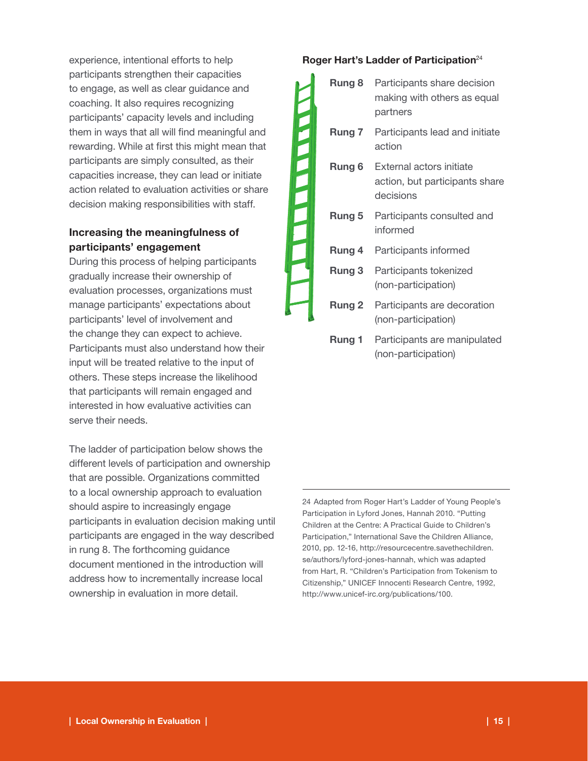experience, intentional efforts to help participants strengthen their capacities to engage, as well as clear guidance and coaching. It also requires recognizing participants' capacity levels and including them in ways that all will find meaningful and rewarding. While at first this might mean that participants are simply consulted, as their capacities increase, they can lead or initiate action related to evaluation activities or share decision making responsibilities with staff.

# Increasing the meaningfulness of participants' engagement

During this process of helping participants gradually increase their ownership of evaluation processes, organizations must manage participants' expectations about participants' level of involvement and the change they can expect to achieve. Participants must also understand how their input will be treated relative to the input of others. These steps increase the likelihood that participants will remain engaged and interested in how evaluative activities can serve their needs.

The ladder of participation below shows the different levels of participation and ownership that are possible. Organizations committed to a local ownership approach to evaluation should aspire to increasingly engage participants in evaluation decision making until participants are engaged in the way described in rung 8. The forthcoming guidance document mentioned in the introduction will address how to incrementally increase local ownership in evaluation in more detail.

#### Roger Hart's Ladder of Participation<sup>24</sup>

|        | Rung 8            | Participants share decision<br>making with others as equal<br>partners  |
|--------|-------------------|-------------------------------------------------------------------------|
| C<br>ŋ | Rung 7            | Participants lead and initiate<br>action                                |
| T,     | Rung 6            | External actors initiate<br>action, but participants share<br>decisions |
|        | <b>Rung 5</b>     | Participants consulted and<br>informed                                  |
|        | Rung 4            | Participants informed                                                   |
|        | Rung 3            | Participants tokenized<br>(non-participation)                           |
|        | Rung <sub>2</sub> | Participants are decoration<br>(non-participation)                      |
|        | <b>Rung 1</b>     | Participants are manipulated<br>(non-participation)                     |

24 Adapted from Roger Hart's Ladder of Young People's Participation in Lyford Jones, Hannah 2010. "Putting Children at the Centre: A Practical Guide to Children's Participation," International Save the Children Alliance, 2010, pp. 12-16, http://resourcecentre.savethechildren. se/authors/lyford-jones-hannah, which was adapted from Hart, R. "Children's Participation from Tokenism to Citizenship," UNICEF Innocenti Research Centre, 1992, http://www.unicef-irc.org/publications/100.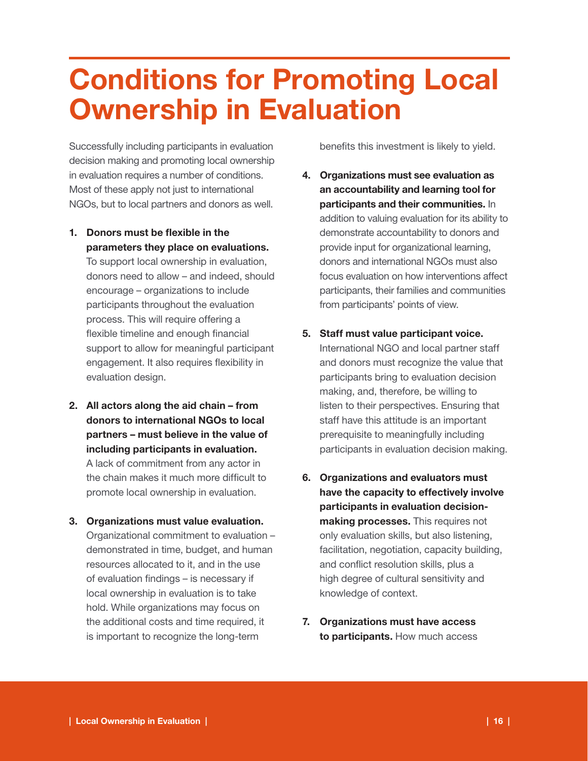# Conditions for Promoting Local Ownership in Evaluation

Successfully including participants in evaluation decision making and promoting local ownership in evaluation requires a number of conditions. Most of these apply not just to international NGOs, but to local partners and donors as well.

1. Donors must be flexible in the parameters they place on evaluations.

To support local ownership in evaluation, donors need to allow – and indeed, should encourage – organizations to include participants throughout the evaluation process. This will require offering a flexible timeline and enough financial support to allow for meaningful participant engagement. It also requires flexibility in evaluation design.

- 2. All actors along the aid chain from donors to international NGOs to local partners – must believe in the value of including participants in evaluation. A lack of commitment from any actor in the chain makes it much more difficult to promote local ownership in evaluation.
- 3. Organizations must value evaluation. Organizational commitment to evaluation – demonstrated in time, budget, and human resources allocated to it, and in the use of evaluation findings – is necessary if local ownership in evaluation is to take hold. While organizations may focus on the additional costs and time required, it is important to recognize the long-term

benefits this investment is likely to yield.

- 4. Organizations must see evaluation as an accountability and learning tool for participants and their communities. In addition to valuing evaluation for its ability to demonstrate accountability to donors and provide input for organizational learning, donors and international NGOs must also focus evaluation on how interventions affect participants, their families and communities from participants' points of view.
- 5. Staff must value participant voice. International NGO and local partner staff and donors must recognize the value that participants bring to evaluation decision making, and, therefore, be willing to listen to their perspectives. Ensuring that staff have this attitude is an important prerequisite to meaningfully including participants in evaluation decision making.
- 6. Organizations and evaluators must have the capacity to effectively involve participants in evaluation decisionmaking processes. This requires not only evaluation skills, but also listening, facilitation, negotiation, capacity building, and conflict resolution skills, plus a high degree of cultural sensitivity and knowledge of context.
- 7. Organizations must have access to participants. How much access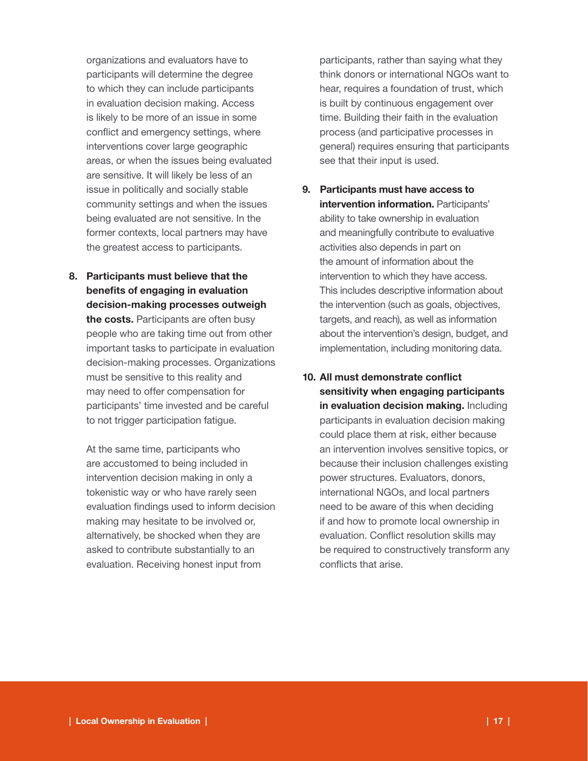organizations and evaluators have to participants will determine the degree to which they can include participants in evaluation decision making. Access is likely to be more of an issue in some conflict and emergency settings, where interventions cover large geographic areas, or when the issues being evaluated are sensitive. It will likely be less of an issue in politically and socially stable community settings and when the issues being evaluated are not sensitive. In the former contexts, local partners may have the greatest access to participants.

8. Participants must believe that the benefits of engaging in evaluation decision-making processes outweigh the costs. Participants are often busy people who are taking time out from other important tasks to participate in evaluation decision-making processes. Organizations must be sensitive to this reality and may need to offer compensation for participants' time invested and be careful to not trigger participation fatigue.

At the same time, participants who are accustomed to being included in intervention decision making in only a tokenistic way or who have rarely seen evaluation findings used to inform decision making may hesitate to be involved or, alternatively, be shocked when they are asked to contribute substantially to an evaluation. Receiving honest input from

participants, rather than saying what they think donors or international NGOs want to hear, requires a foundation of trust, which is built by continuous engagement over time. Building their faith in the evaluation process (and participative processes in general) requires ensuring that participants see that their input is used.

- 9. Participants must have access to intervention information. Participants' ability to take ownership in evaluation and meaningfully contribute to evaluative activities also depends in part on the amount of information about the intervention to which they have access. This includes descriptive information about the intervention (such as goals, objectives, targets, and reach), as well as information about the intervention's design, budget, and implementation, including monitoring data.
- 10. All must demonstrate conflict sensitivity when engaging participants in evaluation decision making. Including participants in evaluation decision making could place them at risk, either because an intervention involves sensitive topics, or because their inclusion challenges existing power structures. Evaluators, donors, international NGOs, and local partners need to be aware of this when deciding if and how to promote local ownership in evaluation. Conflict resolution skills may be required to constructively transform any conflicts that arise.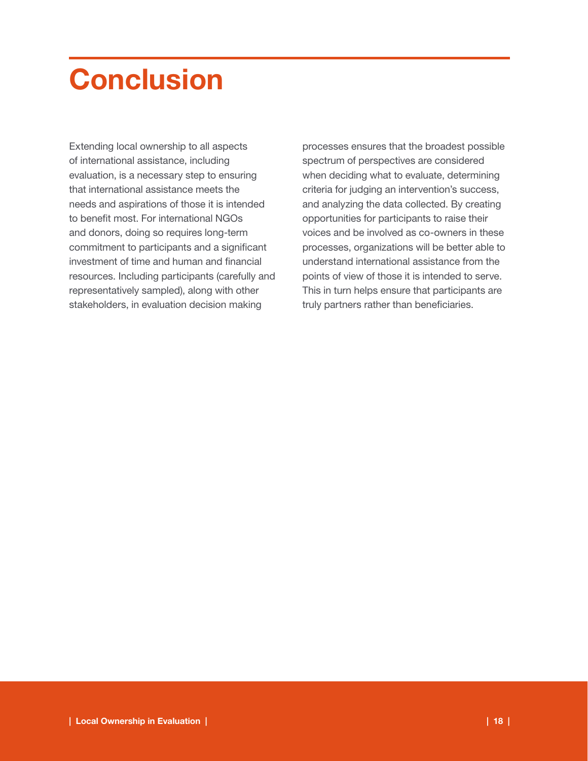# **Conclusion**

Extending local ownership to all aspects of international assistance, including evaluation, is a necessary step to ensuring that international assistance meets the needs and aspirations of those it is intended to benefit most. For international NGOs and donors, doing so requires long-term commitment to participants and a significant investment of time and human and financial resources. Including participants (carefully and representatively sampled), along with other stakeholders, in evaluation decision making

processes ensures that the broadest possible spectrum of perspectives are considered when deciding what to evaluate, determining criteria for judging an intervention's success, and analyzing the data collected. By creating opportunities for participants to raise their voices and be involved as co-owners in these processes, organizations will be better able to understand international assistance from the points of view of those it is intended to serve. This in turn helps ensure that participants are truly partners rather than beneficiaries.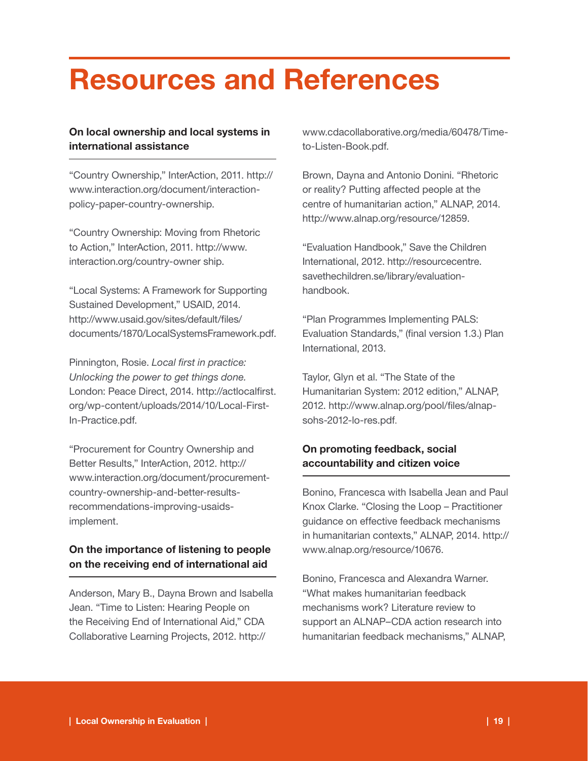# Resources and References

# On local ownership and local systems in international assistance

"Country Ownership," InterAction, 2011. http:// www.interaction.org/document/interactionpolicy-paper-country-ownership.

"Country Ownership: Moving from Rhetoric to Action," InterAction, 2011. http://www. interaction.org/country-owner ship.

"Local Systems: A Framework for Supporting Sustained Development," USAID, 2014. http://www.usaid.gov/sites/default/files/ documents/1870/LocalSystemsFramework.pdf.

Pinnington, Rosie. *Local first in practice: Unlocking the power to get things done.* London: Peace Direct, 2014. http://actlocalfirst. org/wp-content/uploads/2014/10/Local-First-In-Practice.pdf.

"Procurement for Country Ownership and Better Results," InterAction, 2012. http:// www.interaction.org/document/procurementcountry-ownership-and-better-resultsrecommendations-improving-usaidsimplement.

# On the importance of listening to people on the receiving end of international aid

Anderson, Mary B., Dayna Brown and Isabella Jean. "Time to Listen: Hearing People on the Receiving End of International Aid," CDA Collaborative Learning Projects, 2012. http://

www.cdacollaborative.org/media/60478/Timeto-Listen-Book.pdf.

Brown, Dayna and Antonio Donini. "Rhetoric or reality? Putting affected people at the centre of humanitarian action," ALNAP, 2014. http://www.alnap.org/resource/12859.

"Evaluation Handbook," Save the Children International, 2012. http://resourcecentre. savethechildren.se/library/evaluationhandbook.

"Plan Programmes Implementing PALS: Evaluation Standards," (final version 1.3.) Plan International, 2013.

Taylor, Glyn et al. "The State of the Humanitarian System: 2012 edition," ALNAP, 2012. http://www.alnap.org/pool/files/alnapsohs-2012-lo-res.pdf.

# On promoting feedback, social accountability and citizen voice

Bonino, Francesca with Isabella Jean and Paul Knox Clarke. "Closing the Loop – Practitioner guidance on effective feedback mechanisms in humanitarian contexts," ALNAP, 2014. http:// www.alnap.org/resource/10676.

Bonino, Francesca and Alexandra Warner. "What makes humanitarian feedback mechanisms work? Literature review to support an ALNAP–CDA action research into humanitarian feedback mechanisms," ALNAP,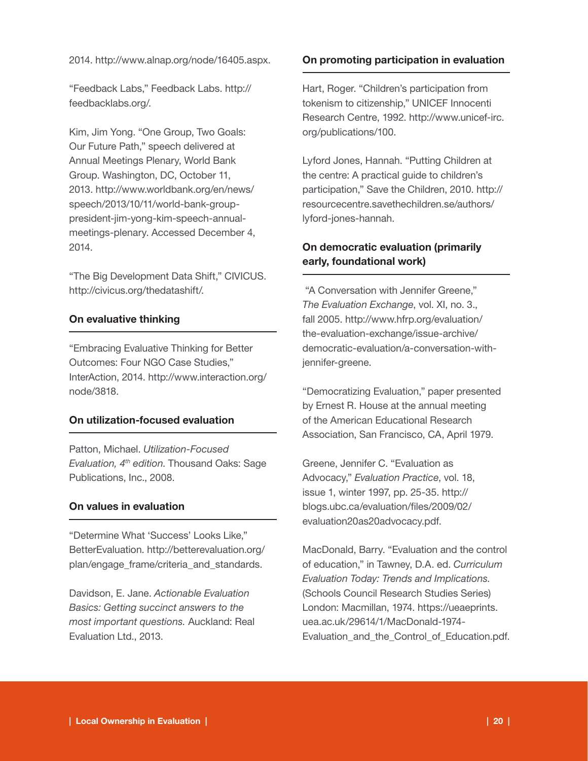2014. http://www.alnap.org/node/16405.aspx.

"Feedback Labs," Feedback Labs. http:// feedbacklabs.org/.

Kim, Jim Yong. "One Group, Two Goals: Our Future Path," speech delivered at Annual Meetings Plenary, World Bank Group. Washington, DC, October 11, 2013. http://www.worldbank.org/en/news/ speech/2013/10/11/world-bank-grouppresident-jim-yong-kim-speech-annualmeetings-plenary. Accessed December 4, 2014.

"The Big Development Data Shift," CIVICUS. http://civicus.org/thedatashift/.

#### On evaluative thinking

"Embracing Evaluative Thinking for Better Outcomes: Four NGO Case Studies," InterAction, 2014. http://www.interaction.org/ node/3818.

#### On utilization-focused evaluation

Patton, Michael. *Utilization-Focused Evaluation, 4th edition*. Thousand Oaks: Sage Publications, Inc., 2008.

#### On values in evaluation

"Determine What 'Success' Looks Like," BetterEvaluation. http://betterevaluation.org/ plan/engage\_frame/criteria\_and\_standards.

Davidson, E. Jane. *Actionable Evaluation Basics: Getting succinct answers to the most important questions.* Auckland: Real Evaluation Ltd., 2013.

#### On promoting participation in evaluation

Hart, Roger. "Children's participation from tokenism to citizenship," UNICEF Innocenti Research Centre, 1992. http://www.unicef-irc. org/publications/100.

Lyford Jones, Hannah. "Putting Children at the centre: A practical guide to children's participation," Save the Children, 2010. http:// resourcecentre.savethechildren.se/authors/ lyford-jones-hannah.

### On democratic evaluation (primarily early, foundational work)

 "A Conversation with Jennifer Greene," *The Evaluation Exchange*, vol. XI, no. 3., fall 2005. http://www.hfrp.org/evaluation/ the-evaluation-exchange/issue-archive/ democratic-evaluation/a-conversation-withjennifer-greene.

"Democratizing Evaluation," paper presented by Ernest R. House at the annual meeting of the American Educational Research Association, San Francisco, CA, April 1979.

Greene, Jennifer C. "Evaluation as Advocacy," *Evaluation Practice*, vol. 18, issue 1, winter 1997, pp. 25-35. http:// blogs.ubc.ca/evaluation/files/2009/02/ evaluation20as20advocacy.pdf.

MacDonald, Barry. "Evaluation and the control of education," in Tawney, D.A. ed. *Curriculum Evaluation Today: Trends and Implications.* (Schools Council Research Studies Series) London: Macmillan, 1974. https://ueaeprints. uea.ac.uk/29614/1/MacDonald-1974- Evaluation and the Control of Education.pdf.